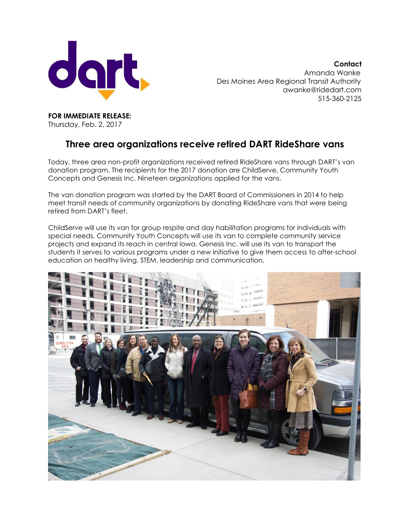

**Contact** Amanda Wanke Des Moines Area Regional Transit Authority [awanke@ridedart.com](mailto:awanke@ridedart.com) 515-360-2125

**FOR IMMEDIATE RELEASE:** Thursday, Feb. 2, 2017

## **Three area organizations receive retired DART RideShare vans**

Today, three area non-profit organizations received retired RideShare vans through DART's van donation program. The recipients for the 2017 donation are ChildServe, Community Youth Concepts and Genesis Inc. Nineteen organizations applied for the vans.

The van donation program was started by the DART Board of Commissioners in 2014 to help meet transit needs of community organizations by donating RideShare vans that were being retired from DART's fleet.

ChildServe will use its van for group respite and day habilitation programs for individuals with special needs. Community Youth Concepts will use its van to complete community service projects and expand its reach in central Iowa. Genesis Inc. will use its van to transport the students it serves to various programs under a new initiative to give them access to after-school education on healthy living, STEM, leadership and communication.